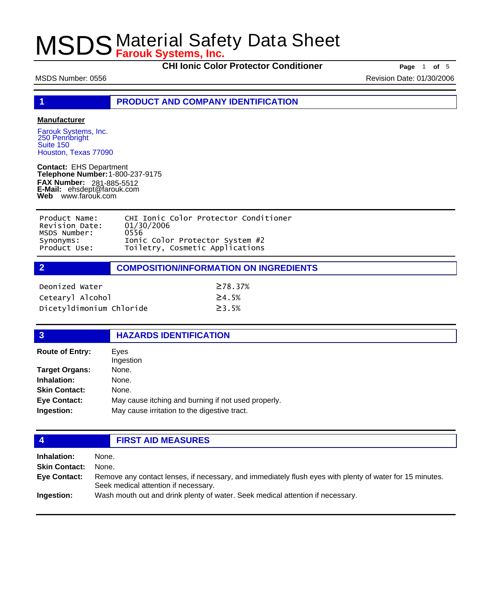**CHI Ionic Color Protector Conditioner Page** 1 of 5

MSDS Number: 0556 **Revision Date: 01/30/2006** Revision Date: 01/30/2006

**1 PRODUCT AND COMPANY IDENTIFICATION**

### **Manufacturer**

Farouk Systems, Inc. 250 Pennbright Suite 150 Houston, Texas 77090

**Contact:** EHS Department **Telephone Number:** 1-800-237-9175 **FAX Number: FAX Number:** 281-885-5512<br>**E-Mail:** ehsdept@farouk.com **Web** www.farouk.com

| Product Name:  | CHI Ionic Color Protector Conditioner |
|----------------|---------------------------------------|
| Revision Date: | 01/30/2006                            |
| MSDS Number:   | 0556                                  |
| Synonyms:      | Ionic Color Protector System #2       |
| Product Use:   | Toiletry, Cosmetic Applications       |

**2 COMPOSITION/INFORMATION ON INGREDIENTS**

| Deonized Water           | $\geq$ 78.37% |
|--------------------------|---------------|
| Cetearyl Alcohol         | $\geq 4.5\%$  |
| Dicetyldimonium Chloride | $\geq$ 3 . 5% |

## **3 HAZARDS IDENTIFICATION**

| <b>Route of Entry:</b> | Eves<br>Ingestion                                   |
|------------------------|-----------------------------------------------------|
| <b>Target Organs:</b>  | None.                                               |
| Inhalation:            | None.                                               |
| <b>Skin Contact:</b>   | None.                                               |
| <b>Eye Contact:</b>    | May cause itching and burning if not used properly. |
| Ingestion:             | May cause irritation to the digestive tract.        |

## **4 FIRST AID MEASURES**

**Inhalation:** None. **Skin Contact:** None. Remove any contact lenses, if necessary, and immediately flush eyes with plenty of water for 15 minutes. Seek medical attention if necessary. **Eye Contact: Ingestion:** Wash mouth out and drink plenty of water. Seek medical attention if necessary.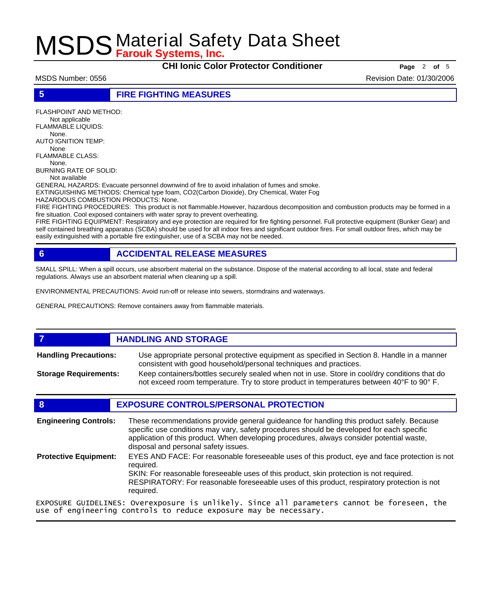**CHI Ionic Color Protector Conditioner Page** <sup>2</sup> **of** <sup>5</sup>

MSDS Number: 0556 Revision Date: 01/30/2006

**5 FIRE FIGHTING MEASURES**

FLASHPOINT AND METHOD: Not applicable FLAMMABLE LIQUIDS:

 None. AUTO IGNITION TEMP:

 None FLAMMABLE CLASS:

None.

BURNING RATE OF SOLID:

Not available

GENERAL HAZARDS: Evacuate personnel downwind of fire to avoid inhalation of fumes and smoke.

EXTINGUISHING METHODS: Chemical type foam, CO2(Carbon Dioxide), Dry Chemical, Water Fog

HAZARDOUS COMBUSTION PRODUCTS: None.

FIRE FIGHTING PROCEDURES: This product is not flammable.However, hazardous decomposition and combustion products may be formed in a fire situation. Cool exposed containers with water spray to prevent overheating.

FIRE FIGHTING EQUIPMENT: Respiratory and eye protection are required for fire fighting personnel. Full protective equipment (Bunker Gear) and self contained breathing apparatus (SCBA) should be used for all indoor fires and significant outdoor fires. For small outdoor fires, which may be easily extinguished with a portable fire extinguisher, use of a SCBA may not be needed.

## **6 ACCIDENTAL RELEASE MEASURES**

SMALL SPILL: When a spill occurs, use absorbent material on the substance. Dispose of the material according to all local, state and federal regulations. Always use an absorbent material when cleaning up a spill.

ENVIRONMENTAL PRECAUTIONS: Avoid run-off or release into sewers, stormdrains and waterways.

GENERAL PRECAUTIONS: Remove containers away from flammable materials.

### **7 HANDLING AND STORAGE** Use appropriate personal protective equipment as specified in Section 8. Handle in a manner consistent with good household/personal techniques and practices. **Handling Precautions:** Keep containers/bottles securely sealed when not in use. Store in cool/dry conditions that do not exceed room temperature. Try to store product in temperatures between 40°F to 90° F. **Storage Requirements:**

## **8 EXPOSURE CONTROLS/PERSONAL PROTECTION**

These recommendations provide general guideance for handling this product safely. Because specific use conditions may vary, safety procedures should be developed for each specific application of this product. When developing procedures, always consider potential waste, disposal and personal safety issues. **Engineering Controls:** EYES AND FACE: For reasonable foreseeable uses of this product, eye and face protection is not required. SKIN: For reasonable foreseeable uses of this product, skin protection is not required. RESPIRATORY: For reasonable foreseeable uses of this product, respiratory protection is not required. **Protective Equipment:** EXPOSURE GUIDELINES: Overexposure is unlikely. Since all parameters cannot be foreseen, the use of engineering controls to reduce exposure may be necessary.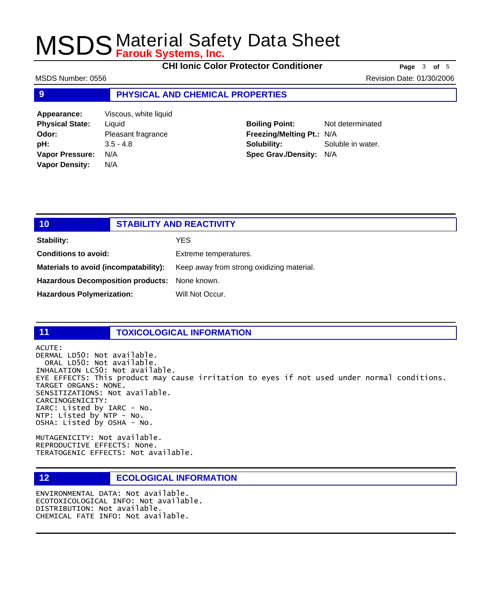**CHI Ionic Color Protector Conditioner Page** <sup>3</sup> **of** <sup>5</sup>

MSDS Number: 0556 Revision Date: 01/30/2006

### **9 PHYSICAL AND CHEMICAL PROPERTIES**

| Appearance:            | Viscous, white liquid |
|------------------------|-----------------------|
| <b>Physical State:</b> | Liquid                |
| Odor:                  | Pleasant fragrance    |
| pH:                    | $3.5 - 4.8$           |
| <b>Vapor Pressure:</b> | N/A                   |
| <b>Vapor Density:</b>  | N/A                   |
|                        |                       |

**Boiling Point:** Not determinated **Freezing/Melting Pt.:** N/A **Solubility:** Soluble in water. **Spec Grav./Density:** N/A

| 10                                            | <b>STABILITY AND REACTIVITY</b>           |
|-----------------------------------------------|-------------------------------------------|
| <b>Stability:</b>                             | YES                                       |
| <b>Conditions to avoid:</b>                   | Extreme temperatures.                     |
| Materials to avoid (incompatability):         | Keep away from strong oxidizing material. |
| Hazardous Decomposition products: None known. |                                           |
| <b>Hazardous Polymerization:</b>              | Will Not Occur.                           |

## **11 TOXICOLOGICAL INFORMATION**

ACUTE: DERMAL LD50: Not available. ORAL LD50: Not available. INHALATION LC50: Not available. EYE EFFECTS: This product may cause irritation to eyes if not used under normal conditions. TARGET ORGANS: NONE. SENSITIZATIONS: Not available. CARCINOGENICITY: IARC: Listed by IARC - No. NTP: Listed by NTP - No. OSHA: Listed by OSHA - No.

MUTAGENICITY: Not available. REPRODUCTIVE EFFECTS: None. TERATOGENIC EFFECTS: Not available.

### **12 ECOLOGICAL INFORMATION**

ENVIRONMENTAL DATA: Not available. ECOTOXICOLOGICAL INFO: Not available. DISTRIBUTION: Not available. CHEMICAL FATE INFO: Not available.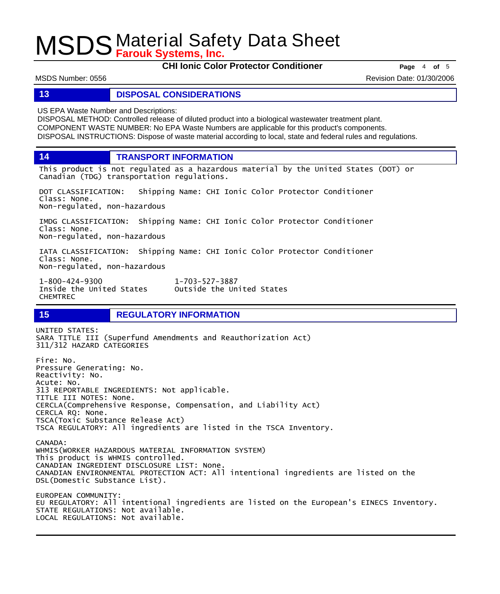**CHI Ionic Color Protector Conditioner Page** <sup>4</sup> **of** <sup>5</sup>

MSDS Number: 0556 Revision Date: 01/30/2006

## **13 DISPOSAL CONSIDERATIONS**

US EPA Waste Number and Descriptions:

DISPOSAL METHOD: Controlled release of diluted product into a biological wastewater treatment plant. COMPONENT WASTE NUMBER: No EPA Waste Numbers are applicable for this product's components. DISPOSAL INSTRUCTIONS: Dispose of waste material according to local, state and federal rules and regulations.

**14 TRANSPORT INFORMATION**

This product is not regulated as a hazardous material by the United States (DOT) or Canadian (TDG) transportation regulations.

DOT CLASSIFICATION: Shipping Name: CHI Ionic Color Protector Conditioner Class: None. Non-regulated, non-hazardous

IMDG CLASSIFICATION: Shipping Name: CHI Ionic Color Protector Conditioner Class: None. Non-regulated, non-hazardous

IATA CLASSIFICATION: Shipping Name: CHI Ionic Color Protector Conditioner Class: None. Non-regulated, non-hazardous

1-800-424-9300 1-703-527-3887 Outside the United States CHEMTREC

## **15 REGULATORY INFORMATION**

UNITED STATES: SARA TITLE III (Superfund Amendments and Reauthorization Act) 311/312 HAZARD CATEGORIES Fire: No. Pressure Generating: No. Reactivity: No. Acute: No. 313 REPORTABLE INGREDIENTS: Not applicable. TITLE III NOTES: None. CERCLA(Comprehensive Response, Compensation, and Liability Act) CERCLA RQ: None. TSCA(Toxic Substance Release Act) TSCA REGULATORY: All ingredients are listed in the TSCA Inventory. CANADA: WHMIS(WORKER HAZARDOUS MATERIAL INFORMATION SYSTEM) This product is WHMIS controlled. CANADIAN INGREDIENT DISCLOSURE LIST: None. CANADIAN ENVIRONMENTAL PROTECTION ACT: All intentional ingredients are listed on the DSL(Domestic Substance List). EUROPEAN COMMUNITY: EU REGULATORY: All intentional ingredients are listed on the European's EINECS Inventory. STATE REGULATIONS: Not available. LOCAL REGULATIONS: Not available.